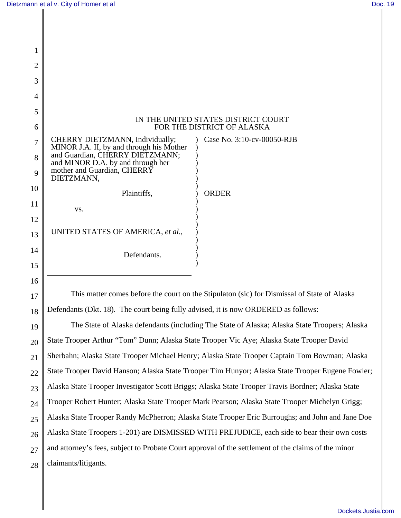| 1              |                                                                                                                |                            |
|----------------|----------------------------------------------------------------------------------------------------------------|----------------------------|
| $\overline{2}$ |                                                                                                                |                            |
| 3              |                                                                                                                |                            |
| $\overline{4}$ |                                                                                                                |                            |
| 5              |                                                                                                                |                            |
| 6              | IN THE UNITED STATES DISTRICT COURT<br>FOR THE DISTRICT OF ALASKA                                              |                            |
| 7              | CHERRY DIETZMANN, Individually;<br>MINOR J.A. II, by and through his Mother<br>and Guardian, CHERRY DIETZMANN; | Case No. 3:10-cv-00050-RJB |
| 8              | and MINOR D.A. by and through her<br>mother and Guardian, CHERRY                                               |                            |
| 9              | DIETZMANN,                                                                                                     |                            |
| 10             | Plaintiffs,                                                                                                    | <b>ORDER</b>               |
| 11             | VS.                                                                                                            |                            |
| 12             |                                                                                                                |                            |
| 13             | UNITED STATES OF AMERICA, et al.,                                                                              |                            |
| 14             | Defendants.                                                                                                    |                            |
| 15             |                                                                                                                |                            |
| 16             |                                                                                                                |                            |

17 18 This matter comes before the court on the Stipulaton (sic) for Dismissal of State of Alaska Defendants (Dkt. 18). The court being fully advised, it is now ORDERED as follows:

19 20 21 22 23 24 25 26 27 28 The State of Alaska defendants (including The State of Alaska; Alaska State Troopers; Alaska State Trooper Arthur "Tom" Dunn; Alaska State Trooper Vic Aye; Alaska State Trooper David Sherbahn; Alaska State Trooper Michael Henry; Alaska State Trooper Captain Tom Bowman; Alaska State Trooper David Hanson; Alaska State Trooper Tim Hunyor; Alaska State Trooper Eugene Fowler; Alaska State Trooper Investigator Scott Briggs; Alaska State Trooper Travis Bordner; Alaska State Trooper Robert Hunter; Alaska State Trooper Mark Pearson; Alaska State Trooper Michelyn Grigg; Alaska State Trooper Randy McPherron; Alaska State Trooper Eric Burroughs; and John and Jane Doe Alaska State Troopers 1-201) are DISMISSED WITH PREJUDICE, each side to bear their own costs and attorney's fees, subject to Probate Court approval of the settlement of the claims of the minor claimants/litigants.